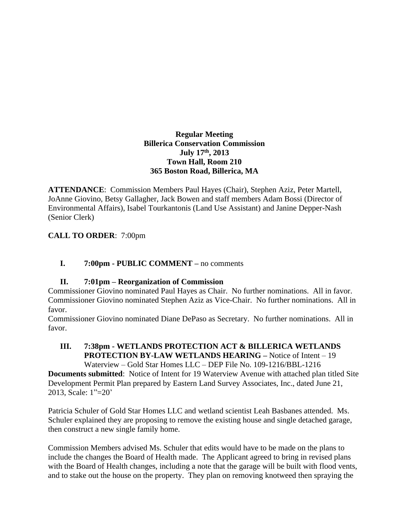## **Regular Meeting Billerica Conservation Commission July 17th , 2013 Town Hall, Room 210 365 Boston Road, Billerica, MA**

**ATTENDANCE**: Commission Members Paul Hayes (Chair), Stephen Aziz, Peter Martell, JoAnne Giovino, Betsy Gallagher, Jack Bowen and staff members Adam Bossi (Director of Environmental Affairs), Isabel Tourkantonis (Land Use Assistant) and Janine Depper-Nash (Senior Clerk)

# **CALL TO ORDER**: 7:00pm

# **I. 7:00pm - PUBLIC COMMENT –** no comments

# **II. 7:01pm – Reorganization of Commission**

Commissioner Giovino nominated Paul Hayes as Chair. No further nominations. All in favor. Commissioner Giovino nominated Stephen Aziz as Vice-Chair. No further nominations. All in favor.

Commissioner Giovino nominated Diane DePaso as Secretary. No further nominations. All in favor.

#### **III. 7:38pm - WETLANDS PROTECTION ACT & BILLERICA WETLANDS PROTECTION BY-LAW WETLANDS HEARING –** Notice of Intent – 19 Waterview – Gold Star Homes LLC – DEP File No. 109-1216/BBL-1216

**Documents submitted**: Notice of Intent for 19 Waterview Avenue with attached plan titled Site Development Permit Plan prepared by Eastern Land Survey Associates, Inc., dated June 21, 2013, Scale: 1"=20'

Patricia Schuler of Gold Star Homes LLC and wetland scientist Leah Basbanes attended. Ms. Schuler explained they are proposing to remove the existing house and single detached garage, then construct a new single family home.

Commission Members advised Ms. Schuler that edits would have to be made on the plans to include the changes the Board of Health made. The Applicant agreed to bring in revised plans with the Board of Health changes, including a note that the garage will be built with flood vents, and to stake out the house on the property. They plan on removing knotweed then spraying the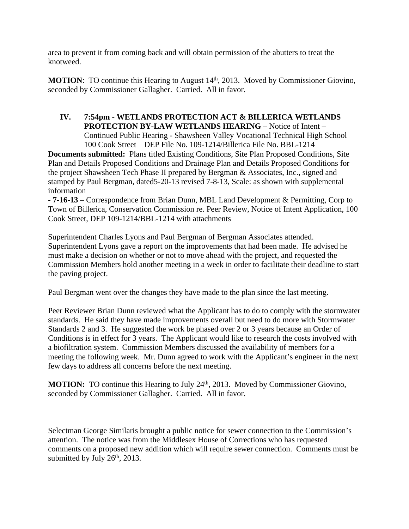area to prevent it from coming back and will obtain permission of the abutters to treat the knotweed.

**MOTION:** TO continue this Hearing to August 14<sup>th</sup>, 2013. Moved by Commissioner Giovino, seconded by Commissioner Gallagher. Carried. All in favor.

# **IV. 7:54pm - WETLANDS PROTECTION ACT & BILLERICA WETLANDS PROTECTION BY-LAW WETLANDS HEARING –** Notice of Intent –

Continued Public Hearing - Shawsheen Valley Vocational Technical High School – 100 Cook Street – DEP File No. 109-1214/Billerica File No. BBL-1214

**Documents submitted:** Plans titled Existing Conditions, Site Plan Proposed Conditions, Site Plan and Details Proposed Conditions and Drainage Plan and Details Proposed Conditions for the project Shawsheen Tech Phase II prepared by Bergman & Associates, Inc., signed and stamped by Paul Bergman, dated5-20-13 revised 7-8-13, Scale: as shown with supplemental information

**- 7-16-13** – Correspondence from Brian Dunn, MBL Land Development & Permitting, Corp to Town of Billerica, Conservation Commission re. Peer Review, Notice of Intent Application, 100 Cook Street, DEP 109-1214/BBL-1214 with attachments

Superintendent Charles Lyons and Paul Bergman of Bergman Associates attended. Superintendent Lyons gave a report on the improvements that had been made. He advised he must make a decision on whether or not to move ahead with the project, and requested the Commission Members hold another meeting in a week in order to facilitate their deadline to start the paving project.

Paul Bergman went over the changes they have made to the plan since the last meeting.

Peer Reviewer Brian Dunn reviewed what the Applicant has to do to comply with the stormwater standards. He said they have made improvements overall but need to do more with Stormwater Standards 2 and 3. He suggested the work be phased over 2 or 3 years because an Order of Conditions is in effect for 3 years. The Applicant would like to research the costs involved with a biofiltration system. Commission Members discussed the availability of members for a meeting the following week. Mr. Dunn agreed to work with the Applicant's engineer in the next few days to address all concerns before the next meeting.

**MOTION:** TO continue this Hearing to July 24<sup>th</sup>, 2013. Moved by Commissioner Giovino, seconded by Commissioner Gallagher. Carried. All in favor.

Selectman George Similaris brought a public notice for sewer connection to the Commission's attention. The notice was from the Middlesex House of Corrections who has requested comments on a proposed new addition which will require sewer connection. Comments must be submitted by July  $26<sup>th</sup>$ , 2013.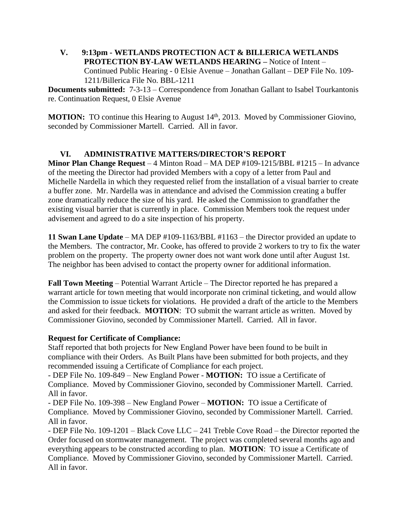**V. 9:13pm - WETLANDS PROTECTION ACT & BILLERICA WETLANDS PROTECTION BY-LAW WETLANDS HEARING –** Notice of Intent – Continued Public Hearing - 0 Elsie Avenue – Jonathan Gallant – DEP File No. 109- 1211/Billerica File No. BBL-1211

**Documents submitted:** 7-3-13 – Correspondence from Jonathan Gallant to Isabel Tourkantonis re. Continuation Request, 0 Elsie Avenue

**MOTION:** TO continue this Hearing to August 14<sup>th</sup>, 2013. Moved by Commissioner Giovino, seconded by Commissioner Martell. Carried. All in favor.

## **VI. ADMINISTRATIVE MATTERS/DIRECTOR'S REPORT**

**Minor Plan Change Request** – 4 Minton Road – MA DEP #109-1215/BBL #1215 – In advance of the meeting the Director had provided Members with a copy of a letter from Paul and Michelle Nardella in which they requested relief from the installation of a visual barrier to create a buffer zone. Mr. Nardella was in attendance and advised the Commission creating a buffer zone dramatically reduce the size of his yard. He asked the Commission to grandfather the existing visual barrier that is currently in place. Commission Members took the request under advisement and agreed to do a site inspection of his property.

**11 Swan Lane Update** – MA DEP #109-1163/BBL #1163 – the Director provided an update to the Members. The contractor, Mr. Cooke, has offered to provide 2 workers to try to fix the water problem on the property. The property owner does not want work done until after August 1st. The neighbor has been advised to contact the property owner for additional information.

**Fall Town Meeting** – Potential Warrant Article – The Director reported he has prepared a warrant article for town meeting that would incorporate non criminal ticketing, and would allow the Commission to issue tickets for violations. He provided a draft of the article to the Members and asked for their feedback. **MOTION**: TO submit the warrant article as written. Moved by Commissioner Giovino, seconded by Commissioner Martell. Carried. All in favor.

### **Request for Certificate of Compliance:**

Staff reported that both projects for New England Power have been found to be built in compliance with their Orders. As Built Plans have been submitted for both projects, and they recommended issuing a Certificate of Compliance for each project.

- DEP File No. 109-849 – New England Power - **MOTION:** TO issue a Certificate of Compliance. Moved by Commissioner Giovino, seconded by Commissioner Martell. Carried. All in favor.

- DEP File No. 109-398 – New England Power – **MOTION:** TO issue a Certificate of Compliance. Moved by Commissioner Giovino, seconded by Commissioner Martell. Carried. All in favor.

- DEP File No. 109-1201 – Black Cove LLC – 241 Treble Cove Road – the Director reported the Order focused on stormwater management. The project was completed several months ago and everything appears to be constructed according to plan. **MOTION**: TO issue a Certificate of Compliance. Moved by Commissioner Giovino, seconded by Commissioner Martell. Carried. All in favor.